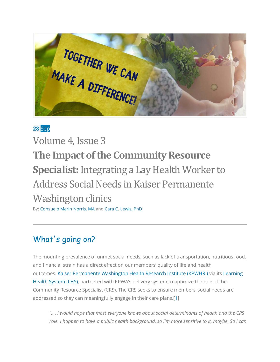TOGETHER WE CAN

### **28** Sep

Volume 4, Issue 3 **The Impact of the Community Resource Specialist:**Integrating a Lay Health Worker to Address Social Needs in Kaiser Permanente Washington clinics

By: [Consuelo Marin Norris, MA](https://www.linkedin.com/in/consuelo-connie-norris/) and [Cara C. Lewis, PhD](https://sonnet.kp.org/bio-cara-lewis.html)

# What's going on?

The mounting prevalence of unmet social needs, such as lack of transportation, nutritious food, and financial strain has a direct effect on our members' quality of life and health outcomes. [Kaiser Permanente Washington Health Research Institute \(KPWHRI\)](https://www.kpwashingtonresearch.org/) via its [Learning](https://www.kpwashingtonresearch.org/about-us/careers/catalyst-k12-washington-learning-health-system-scholar-program/learning-health-system-lhs-research)  [Health System \(LHS\),](https://www.kpwashingtonresearch.org/about-us/careers/catalyst-k12-washington-learning-health-system-scholar-program/learning-health-system-lhs-research) partnered with KPWA's delivery system to optimize the role of the Community Resource Specialist (CRS). The CRS seeks to ensure members' social needs are addressed so they can meaningfully engage in their care plans.[\[1\]](http://www.thepermanentejournal.org/issues/2018/volume-22-suppl-issue/6890-primary-care-teams.html)

*".... I would hope that most everyone knows about social determinants of health and the CRS role. I happen to have a public health background, so I'm more sensitive to it, maybe. So I can*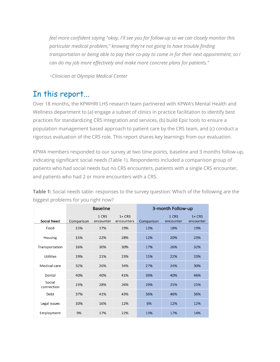*feel more confident saying "okay, I'll see you for follow-up so we can closely monitor this particular medical problem," knowing they're not going to have trouble finding transportation or being able to pay their co-pay to come in for their next appointment, so I can do my job more effectively and make more concrete plans for patients."*

*~Clinician at Olympia Medical Center*

# In this report...

Over 18 months, the KPWHRI LHS research team partnered with KPWA's Mental Health and Wellness department to (a) engage a subset of clinics in practice facilitation to identify best practices for standardizing CRS integration and services, (b) build Epic tools to ensure a population management based approach to patient care by the CRS team, and (c) conduct a rigorous evaluation of the CRS role. This report shares key learnings from our evaluation.

KPWA members responded to our survey at two time points, baseline and 3 months follow-up, indicating significant social needs (Table 1). Respondents included a comparison group of patients who had social needs but no CRS encounters, patients with a single CRS encounter, and patients who had 2 or more encounters with a CRS.

|                      | <b>Baseline</b> |                    |                         | 3-month Follow-up |                    |                      |
|----------------------|-----------------|--------------------|-------------------------|-------------------|--------------------|----------------------|
| <b>Social Need</b>   | Comparison      | 1 CRS<br>encounter | $1 + CRS$<br>encounters | Comparison        | 1 CRS<br>encounter | $1+CRS$<br>encounter |
| Food                 | 15%             | 17%                | 19%                     | 13%               | 18%                | 19%                  |
| Housing              | 15%             | 22%                | 28%                     | 12%               | 20%                | 23%                  |
| Transportation       | 16%             | 30%                | 30%                     | 17%               | 26%                | 32%                  |
| <b>Utilities</b>     | 19%             | 21%                | 23%                     | 15%               | 22%                | 23%                  |
| Medical care         | 32%             | 26%                | 34%                     | 27%               | 24%                | 30%                  |
| Dental               | 40%             | 40%                | 41%                     | 39%               | 40%                | 46%                  |
| Social<br>connection | 23%             | 28%                | 26%                     | 29%               | 25%                | 25%                  |
| Debt                 | 37%             | 41%                | 43%                     | 36%               | 46%                | 36%                  |
| Legal issues         | 10%             | 16%                | 12%                     | 6%                | 12%                | 12%                  |
| Employment           | 9%              | 17%                | 22%                     | 13%               | 17%                | 14%                  |

**Table 1:** Social needs table- responses to the survey question: Which of the following are the biggest problems for you right now?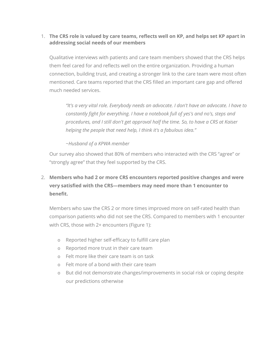### 1. **The CRS role is valued by care teams, reflects well on KP, and helps set KP apart in addressing social needs of our members**

Qualitative interviews with patients and care team members showed that the CRS helps them feel cared for and reflects well on the entire organization. Providing a human connection, building trust, and creating a stronger link to the care team were most often mentioned. Care teams reported that the CRS filled an important care gap and offered much needed services.

*"It's a very vital role. Everybody needs an advocate. I don't have an advocate. I have to constantly fight for everything. I have a notebook full of yes's and no's, steps and procedures, and I still don't get approval half the time. So, to have a CRS at Kaiser helping the people that need help, I think it's a fabulous idea."*

#### *~Husband of a KPWA member*

Our survey also showed that 80% of members who interacted with the CRS "agree" or "strongly agree" that they feel supported by the CRS.

### 2. **Members who had 2 or more CRS encounters reported positive changes and were very satisfied with the CRS—members may need more than 1 encounter to benefit.**

Members who saw the CRS 2 or more times improved more on self-rated health than comparison patients who did not see the CRS. Compared to members with 1 encounter with CRS, those with 2+ encounters (Figure 1):

- o Reported higher self-efficacy to fulfill care plan
- o Reported more trust in their care team
- o Felt more like their care team is on task
- o Felt more of a bond with their care team
- o But did not demonstrate changes/improvements in social risk or coping despite our predictions otherwise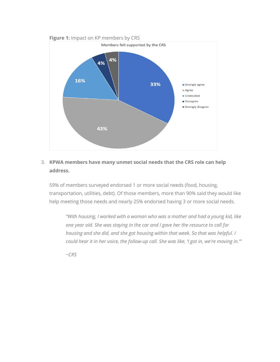

### 3. **KPWA members have many unmet social needs that the CRS role can help address.**

59% of members surveyed endorsed 1 or more social needs (food, housing, transportation, utilities, debt). Of those members, more than 90% said they would like help meeting those needs and nearly 25% endorsed having 3 or more social needs.

*"With housing, I worked with a woman who was a mother and had a young kid, like one year old. She was staying in the car and I gave her the resource to call for housing and she did, and she got housing within that week. So that was helpful. I could hear it in her voice, the follow-up call. She was like, 'I got in, we're moving in.'"*

*~CRS*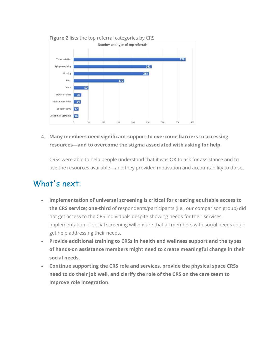

4. **Many members need significant support to overcome barriers to accessing resources—and to overcome the stigma associated with asking for help.**

CRSs were able to help people understand that it was OK to ask for assistance and to use the resources available—and they provided motivation and accountability to do so.

# What's next:

- **Implementation of universal screening is critical for creating equitable access to the CRS service; one-third** of respondents/participants (i.e., our comparison group) did not get access to the CRS individuals despite showing needs for their services. Implementation of social screening will ensure that all members with social needs could get help addressing their needs.
- **Provide additional training to CRSs in health and wellness support and the types of hands-on assistance members might need to create meaningful change in their social needs.**
- **Continue supporting the CRS role and services, provide the physical space CRSs need to do their job well, and clarify the role of the CRS on the care team to improve role integration.**